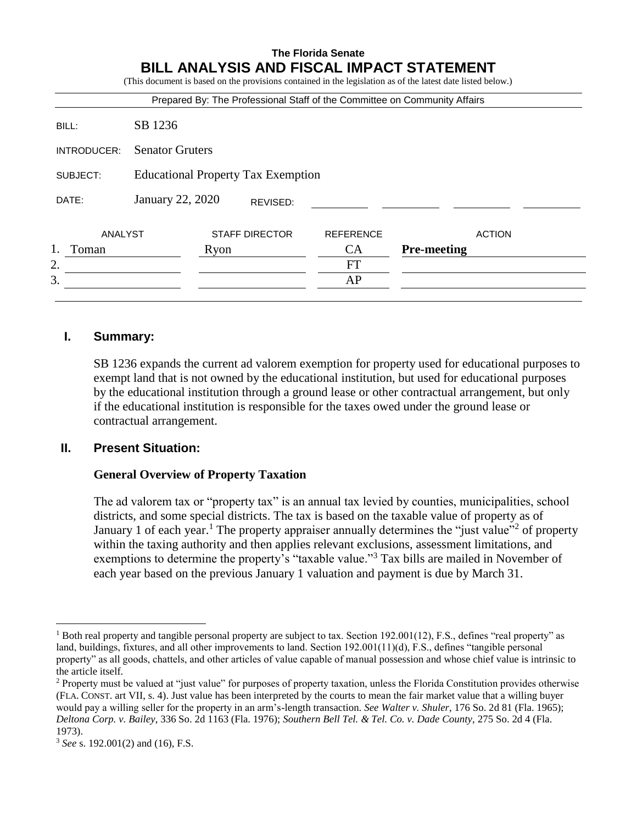## **The Florida Senate BILL ANALYSIS AND FISCAL IMPACT STATEMENT**

|             |                                           |      |                       |                  | Prepared By: The Professional Staff of the Committee on Community Affairs |
|-------------|-------------------------------------------|------|-----------------------|------------------|---------------------------------------------------------------------------|
| BILL:       | SB 1236                                   |      |                       |                  |                                                                           |
| INTRODUCER: | <b>Senator Gruters</b>                    |      |                       |                  |                                                                           |
| SUBJECT:    | <b>Educational Property Tax Exemption</b> |      |                       |                  |                                                                           |
| DATE:       | January 22, 2020                          |      | REVISED:              |                  |                                                                           |
| ANALYST     |                                           |      | <b>STAFF DIRECTOR</b> | <b>REFERENCE</b> | <b>ACTION</b>                                                             |
| Toman       |                                           | Ryon |                       | CA               | <b>Pre-meeting</b>                                                        |
| 2.          |                                           |      |                       | FT               |                                                                           |
| 3.          |                                           |      |                       | AP               |                                                                           |

#### **I. Summary:**

SB 1236 expands the current ad valorem exemption for property used for educational purposes to exempt land that is not owned by the educational institution, but used for educational purposes by the educational institution through a ground lease or other contractual arrangement, but only if the educational institution is responsible for the taxes owed under the ground lease or contractual arrangement.

#### **II. Present Situation:**

#### **General Overview of Property Taxation**

The ad valorem tax or "property tax" is an annual tax levied by counties, municipalities, school districts, and some special districts. The tax is based on the taxable value of property as of January 1 of each year.<sup>1</sup> The property appraiser annually determines the "just value"<sup>2</sup> of property within the taxing authority and then applies relevant exclusions, assessment limitations, and exemptions to determine the property's "taxable value."<sup>3</sup> Tax bills are mailed in November of each year based on the previous January 1 valuation and payment is due by March 31.

 $\overline{a}$ 

<sup>&</sup>lt;sup>1</sup> Both real property and tangible personal property are subject to tax. Section 192.001(12), F.S., defines "real property" as land, buildings, fixtures, and all other improvements to land. Section 192.001(11)(d), F.S., defines "tangible personal property" as all goods, chattels, and other articles of value capable of manual possession and whose chief value is intrinsic to the article itself.

<sup>&</sup>lt;sup>2</sup> Property must be valued at "just value" for purposes of property taxation, unless the Florida Constitution provides otherwise (FLA. CONST. art VII, s. 4). Just value has been interpreted by the courts to mean the fair market value that a willing buyer would pay a willing seller for the property in an arm's-length transaction. *See Walter v. Shuler,* 176 So. 2d 81 (Fla. 1965); *Deltona Corp. v. Bailey*, 336 So. 2d 1163 (Fla. 1976); *Southern Bell Tel. & Tel. Co. v. Dade County,* 275 So. 2d 4 (Fla. 1973).

<sup>3</sup> *See* s. 192.001(2) and (16), F.S.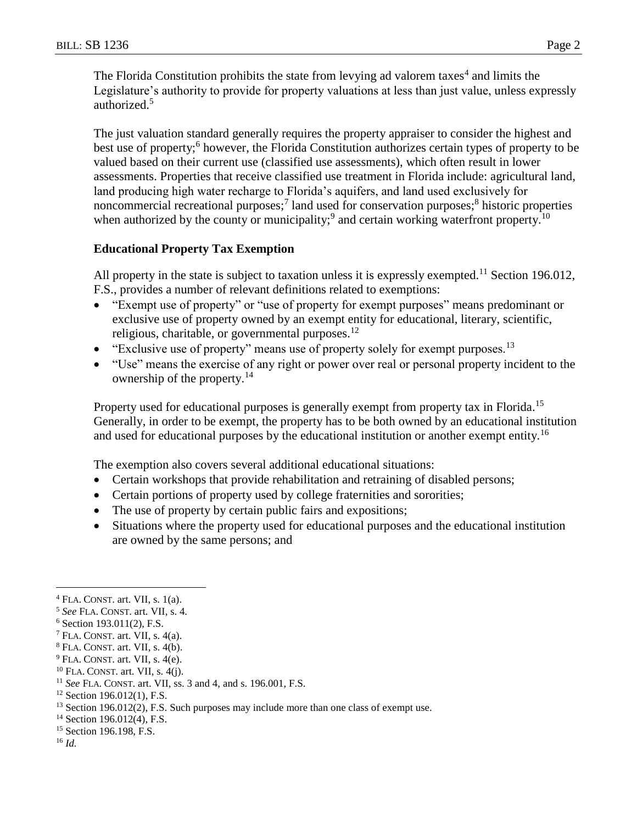The Florida Constitution prohibits the state from levying ad valorem taxes<sup>4</sup> and limits the Legislature's authority to provide for property valuations at less than just value, unless expressly authorized.<sup>5</sup>

The just valuation standard generally requires the property appraiser to consider the highest and best use of property;<sup>6</sup> however, the Florida Constitution authorizes certain types of property to be valued based on their current use (classified use assessments), which often result in lower assessments. Properties that receive classified use treatment in Florida include: agricultural land, land producing high water recharge to Florida's aquifers, and land used exclusively for noncommercial recreational purposes;<sup>7</sup> land used for conservation purposes;<sup>8</sup> historic properties when authorized by the county or municipality;<sup>9</sup> and certain working waterfront property.<sup>10</sup>

### **Educational Property Tax Exemption**

All property in the state is subject to taxation unless it is expressly exempted.<sup>11</sup> Section 196.012, F.S., provides a number of relevant definitions related to exemptions:

- "Exempt use of property" or "use of property for exempt purposes" means predominant or exclusive use of property owned by an exempt entity for educational, literary, scientific, religious, charitable, or governmental purposes.<sup>12</sup>
- "Exclusive use of property" means use of property solely for exempt purposes.<sup>13</sup>
- "Use" means the exercise of any right or power over real or personal property incident to the ownership of the property.<sup>14</sup>

Property used for educational purposes is generally exempt from property tax in Florida.<sup>15</sup> Generally, in order to be exempt, the property has to be both owned by an educational institution and used for educational purposes by the educational institution or another exempt entity.<sup>16</sup>

The exemption also covers several additional educational situations:

- Certain workshops that provide rehabilitation and retraining of disabled persons;
- Certain portions of property used by college fraternities and sororities;
- The use of property by certain public fairs and expositions;
- Situations where the property used for educational purposes and the educational institution are owned by the same persons; and

 $12$  Section 196.012(1), F.S.

<sup>16</sup> *Id.*

 $\overline{a}$ 

 $4$  FLA. CONST. art. VII, s. 1(a).

<sup>5</sup> *See* FLA. CONST. art. VII, s. 4.

<sup>6</sup> Section 193.011(2), F.S.

 $7$  FLA. CONST. art. VII, s. 4(a).

<sup>8</sup> FLA. CONST. art. VII, s. 4(b).

 $9$  FLA. CONST. art. VII, s. 4(e).

 $10$  FLA. CONST. art. VII, s. 4(j).

<sup>11</sup> *See* FLA. CONST. art. VII, ss. 3 and 4, and s. 196.001, F.S.

<sup>&</sup>lt;sup>13</sup> Section 196.012(2), F.S. Such purposes may include more than one class of exempt use.

<sup>&</sup>lt;sup>14</sup> Section 196.012(4), F.S.

<sup>&</sup>lt;sup>15</sup> Section 196.198, F.S.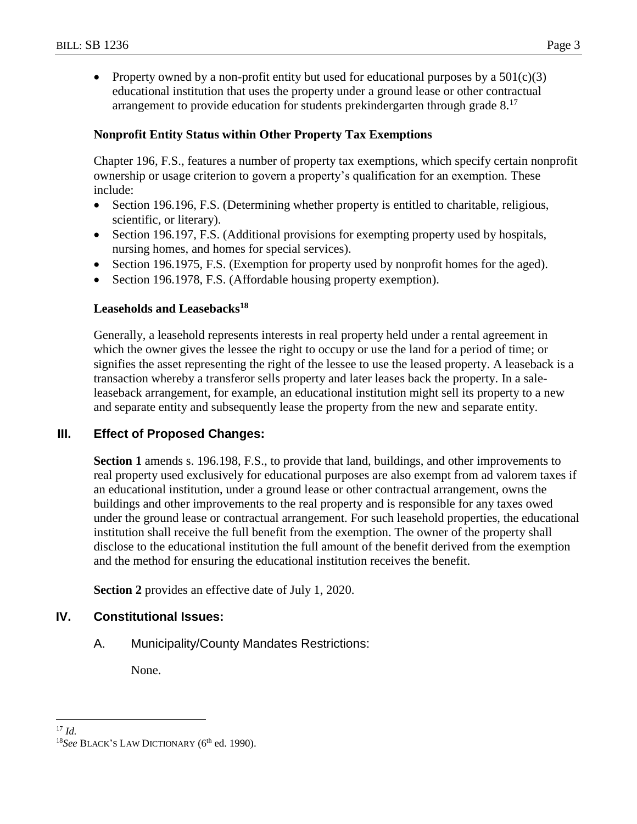• Property owned by a non-profit entity but used for educational purposes by a  $501(c)(3)$ educational institution that uses the property under a ground lease or other contractual arrangement to provide education for students prekindergarten through grade  $8.17$ 

## **Nonprofit Entity Status within Other Property Tax Exemptions**

Chapter 196, F.S., features a number of property tax exemptions, which specify certain nonprofit ownership or usage criterion to govern a property's qualification for an exemption. These include:

- Section 196.196, F.S. (Determining whether property is entitled to charitable, religious, scientific, or literary).
- Section 196.197, F.S. (Additional provisions for exempting property used by hospitals, nursing homes, and homes for special services).
- Section 196.1975, F.S. (Exemption for property used by nonprofit homes for the aged).
- Section 196.1978, F.S. (Affordable housing property exemption).

### **Leaseholds and Leasebacks<sup>18</sup>**

Generally, a leasehold represents interests in real property held under a rental agreement in which the owner gives the lessee the right to occupy or use the land for a period of time; or signifies the asset representing the right of the lessee to use the leased property. A leaseback is a transaction whereby a transferor sells property and later leases back the property. In a saleleaseback arrangement, for example, an educational institution might sell its property to a new and separate entity and subsequently lease the property from the new and separate entity.

### **III. Effect of Proposed Changes:**

**Section 1** amends s. 196.198, F.S., to provide that land, buildings, and other improvements to real property used exclusively for educational purposes are also exempt from ad valorem taxes if an educational institution, under a ground lease or other contractual arrangement, owns the buildings and other improvements to the real property and is responsible for any taxes owed under the ground lease or contractual arrangement. For such leasehold properties, the educational institution shall receive the full benefit from the exemption. The owner of the property shall disclose to the educational institution the full amount of the benefit derived from the exemption and the method for ensuring the educational institution receives the benefit.

**Section 2** provides an effective date of July 1, 2020.

### **IV. Constitutional Issues:**

A. Municipality/County Mandates Restrictions:

None.

 $\overline{a}$ <sup>17</sup> *Id.*

<sup>&</sup>lt;sup>18</sup>See BLACK'S LAW DICTIONARY (6<sup>th</sup> ed. 1990).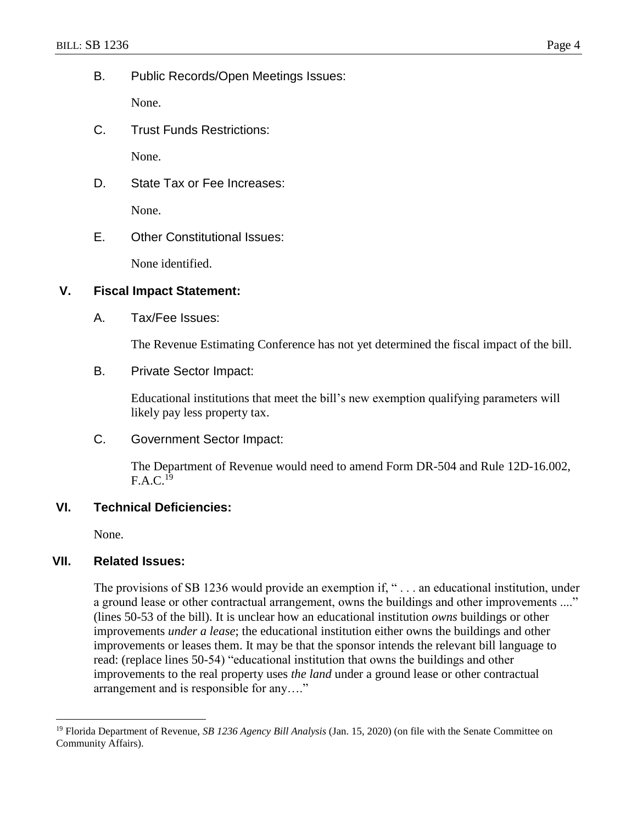B. Public Records/Open Meetings Issues:

None.

C. Trust Funds Restrictions:

None.

D. State Tax or Fee Increases:

None.

E. Other Constitutional Issues:

None identified.

### **V. Fiscal Impact Statement:**

A. Tax/Fee Issues:

The Revenue Estimating Conference has not yet determined the fiscal impact of the bill.

B. Private Sector Impact:

Educational institutions that meet the bill's new exemption qualifying parameters will likely pay less property tax.

C. Government Sector Impact:

The Department of Revenue would need to amend Form DR-504 and Rule 12D-16.002,  $F.A.C.<sup>19</sup>$ 

### **VI. Technical Deficiencies:**

None.

 $\overline{a}$ 

### **VII. Related Issues:**

The provisions of SB 1236 would provide an exemption if, "... an educational institution, under a ground lease or other contractual arrangement, owns the buildings and other improvements ...." (lines 50-53 of the bill). It is unclear how an educational institution *owns* buildings or other improvements *under a lease*; the educational institution either owns the buildings and other improvements or leases them. It may be that the sponsor intends the relevant bill language to read: (replace lines 50-54) "educational institution that owns the buildings and other improvements to the real property uses *the land* under a ground lease or other contractual arrangement and is responsible for any…."

<sup>19</sup> Florida Department of Revenue, *SB 1236 Agency Bill Analysis* (Jan. 15, 2020) (on file with the Senate Committee on Community Affairs).